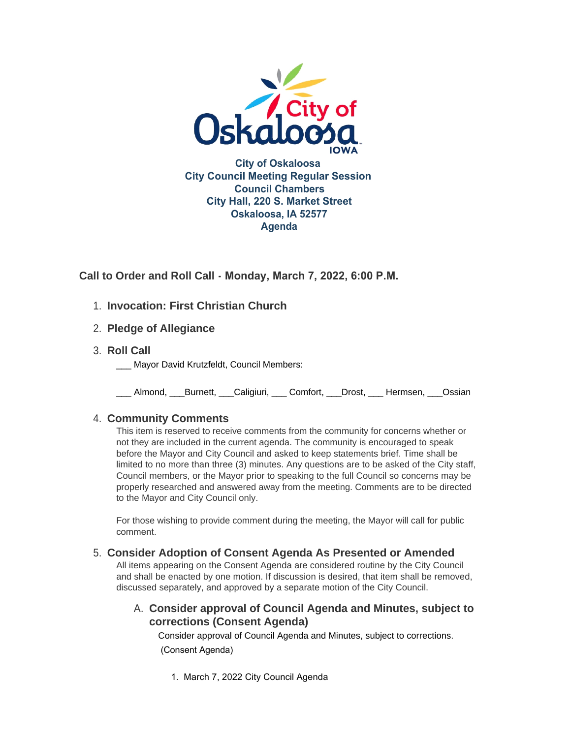

**Call to Order and Roll Call - Monday, March 7, 2022, 6:00 P.M.** 

- 1. Invocation: First Christian Church
- **Pledge of Allegiance** 2.
- **Roll Call** 3.
	- Mayor David Krutzfeldt, Council Members:

\_\_\_ Almond, \_\_\_Burnett, \_\_\_Caligiuri, \_\_\_ Comfort, \_\_\_Drost, \_\_\_ Hermsen, \_\_\_Ossian

# **Community Comments** 4.

This item is reserved to receive comments from the community for concerns whether or not they are included in the current agenda. The community is encouraged to speak before the Mayor and City Council and asked to keep statements brief. Time shall be limited to no more than three (3) minutes. Any questions are to be asked of the City staff, Council members, or the Mayor prior to speaking to the full Council so concerns may be properly researched and answered away from the meeting. Comments are to be directed to the Mayor and City Council only.

For those wishing to provide comment during the meeting, the Mayor will call for public comment.

# **Consider Adoption of Consent Agenda As Presented or Amended** 5.

All items appearing on the Consent Agenda are considered routine by the City Council and shall be enacted by one motion. If discussion is desired, that item shall be removed, discussed separately, and approved by a separate motion of the City Council.

# **Consider approval of Council Agenda and Minutes, subject to**  A. **corrections (Consent Agenda)**

Consider approval of Council Agenda and Minutes, subject to corrections. (Consent Agenda)

1. March 7, 2022 City Council Agenda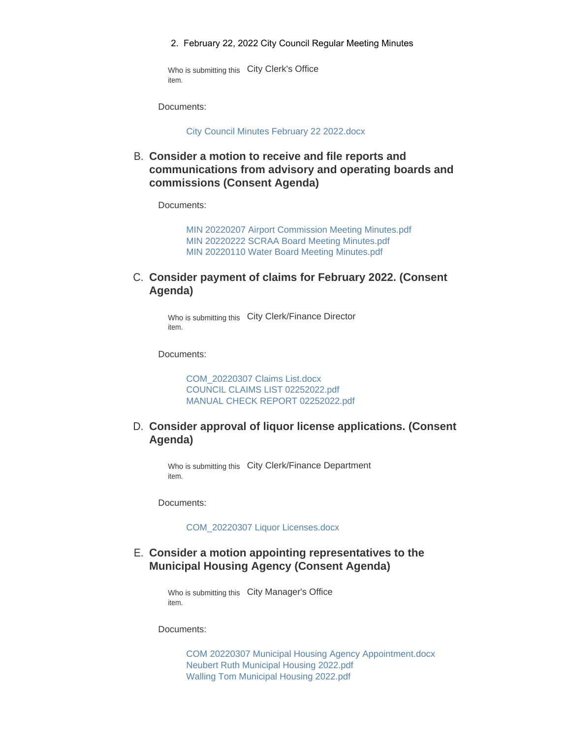2. February 22, 2022 City Council Regular Meeting Minutes

Who is submitting this City Clerk's Office item.

Documents:

[City Council Minutes February 22 2022.docx](https://www.oskaloosaiowa.org/AgendaCenter/ViewFile/Item/9943?fileID=26205)

**Consider a motion to receive and file reports and**  B. **communications from advisory and operating boards and commissions (Consent Agenda)**

Documents:

[MIN 20220207 Airport Commission Meeting Minutes.pdf](https://www.oskaloosaiowa.org/AgendaCenter/ViewFile/Item/9944?fileID=26206) [MIN 20220222 SCRAA Board Meeting Minutes.pdf](https://www.oskaloosaiowa.org/AgendaCenter/ViewFile/Item/9944?fileID=26207) [MIN 20220110 Water Board Meeting Minutes.pdf](https://www.oskaloosaiowa.org/AgendaCenter/ViewFile/Item/9944?fileID=26208)

## C. Consider payment of claims for February 2022. (Consent **Agenda)**

Who is submitting this City Clerk/Finance Director item.

Documents:

[COM\\_20220307 Claims List.docx](https://www.oskaloosaiowa.org/AgendaCenter/ViewFile/Item/9918?fileID=26197) [COUNCIL CLAIMS LIST 02252022.pdf](https://www.oskaloosaiowa.org/AgendaCenter/ViewFile/Item/9918?fileID=26198) [MANUAL CHECK REPORT 02252022.pdf](https://www.oskaloosaiowa.org/AgendaCenter/ViewFile/Item/9918?fileID=26199)

# **Consider approval of liquor license applications. (Consent**  D. **Agenda)**

Who is submitting this City Clerk/Finance Department item.

Documents:

[COM\\_20220307 Liquor Licenses.docx](https://www.oskaloosaiowa.org/AgendaCenter/ViewFile/Item/9919?fileID=26159)

### **Consider a motion appointing representatives to the**  E. **Municipal Housing Agency (Consent Agenda)**

Who is submitting this City Manager's Office item.

Documents:

[COM 20220307 Municipal Housing Agency Appointment.docx](https://www.oskaloosaiowa.org/AgendaCenter/ViewFile/Item/9955?fileID=26217) [Neubert Ruth Municipal Housing 2022.pdf](https://www.oskaloosaiowa.org/AgendaCenter/ViewFile/Item/9955?fileID=26215) [Walling Tom Municipal Housing 2022.pdf](https://www.oskaloosaiowa.org/AgendaCenter/ViewFile/Item/9955?fileID=26216)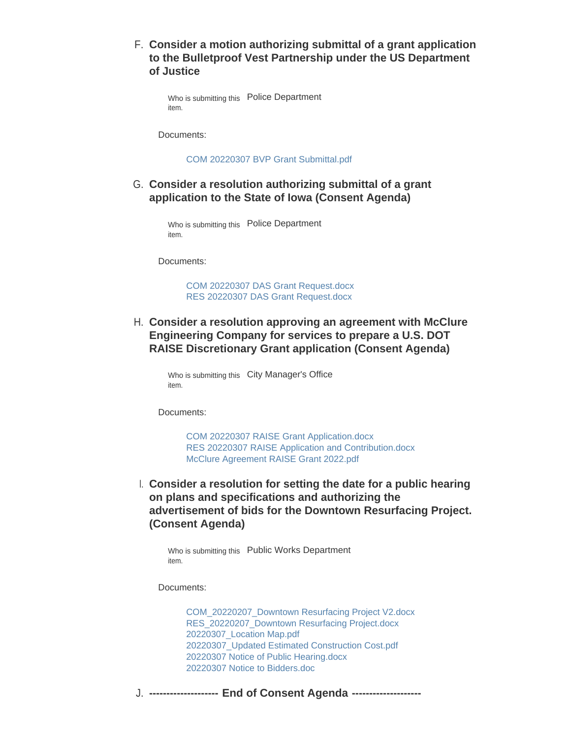**Consider a motion authorizing submittal of a grant application**  F. **to the Bulletproof Vest Partnership under the US Department of Justice** 

Who is submitting this Police Department item.

Documents:

[COM 20220307 BVP Grant Submittal.pdf](https://www.oskaloosaiowa.org/AgendaCenter/ViewFile/Item/9929?fileID=26161)

# **Consider a resolution authorizing submittal of a grant**  G. **application to the State of Iowa (Consent Agenda)**

Who is submitting this Police Department item.

Documents:

[COM 20220307 DAS Grant Request.docx](https://www.oskaloosaiowa.org/AgendaCenter/ViewFile/Item/9930?fileID=26164) [RES 20220307 DAS Grant Request.docx](https://www.oskaloosaiowa.org/AgendaCenter/ViewFile/Item/9930?fileID=26163)

**Consider a resolution approving an agreement with McClure**  H. **Engineering Company for services to prepare a U.S. DOT RAISE Discretionary Grant application (Consent Agenda)**

Who is submitting this City Manager's Office item.

Documents:

[COM 20220307 RAISE Grant Application.docx](https://www.oskaloosaiowa.org/AgendaCenter/ViewFile/Item/9931?fileID=26173) [RES 20220307 RAISE Application and Contribution.docx](https://www.oskaloosaiowa.org/AgendaCenter/ViewFile/Item/9931?fileID=26175) [McClure Agreement RAISE Grant 2022.pdf](https://www.oskaloosaiowa.org/AgendaCenter/ViewFile/Item/9931?fileID=26174)

**Consider a resolution for setting the date for a public hearing**  I. **on plans and specifications and authorizing the advertisement of bids for the Downtown Resurfacing Project. (Consent Agenda)**

Who is submitting this Public Works Department item.

Documents:

[COM\\_20220207\\_Downtown Resurfacing Project V2.docx](https://www.oskaloosaiowa.org/AgendaCenter/ViewFile/Item/9936?fileID=26191) [RES\\_20220207\\_Downtown Resurfacing Project.docx](https://www.oskaloosaiowa.org/AgendaCenter/ViewFile/Item/9936?fileID=26192) [20220307\\_Location Map.pdf](https://www.oskaloosaiowa.org/AgendaCenter/ViewFile/Item/9936?fileID=26193) [20220307\\_Updated Estimated Construction Cost.pdf](https://www.oskaloosaiowa.org/AgendaCenter/ViewFile/Item/9936?fileID=26196) [20220307 Notice of Public Hearing.docx](https://www.oskaloosaiowa.org/AgendaCenter/ViewFile/Item/9936?fileID=26195) [20220307 Notice to Bidders.doc](https://www.oskaloosaiowa.org/AgendaCenter/ViewFile/Item/9936?fileID=26194)

**-------------------- End of Consent Agenda --------------------** J.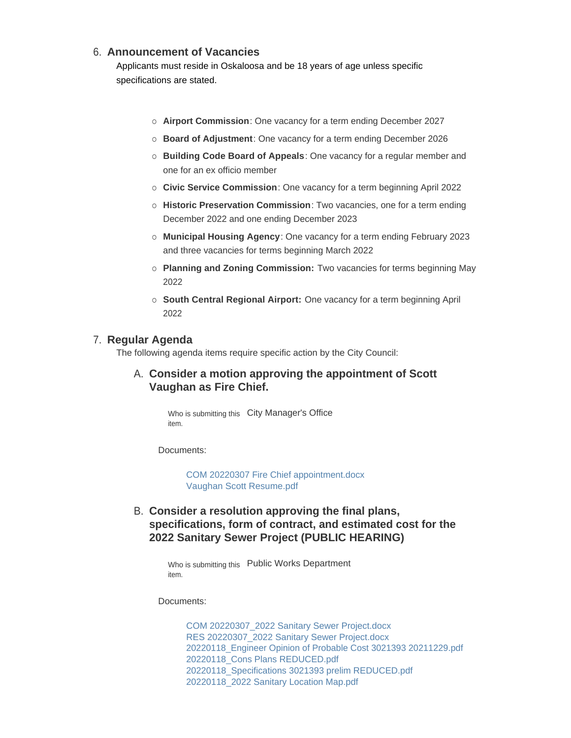### **Announcement of Vacancies** 6.

Applicants must reside in Oskaloosa and be 18 years of age unless specific specifications are stated.

- ¡ **Airport Commission**: One vacancy for a term ending December 2027
- ¡ **Board of Adjustment**: One vacancy for a term ending December 2026
- ¡ **Building Code Board of Appeals**: One vacancy for a regular member and one for an ex officio member
- ¡ **Civic Service Commission**: One vacancy for a term beginning April 2022
- ¡ **Historic Preservation Commission**: Two vacancies, one for a term ending December 2022 and one ending December 2023
- ¡ **Municipal Housing Agency**: One vacancy for a term ending February 2023 and three vacancies for terms beginning March 2022
- ¡ **Planning and Zoning Commission:** Two vacancies for terms beginning May 2022
- ¡ **South Central Regional Airport:** One vacancy for a term beginning April 2022

#### **Regular Agenda** 7.

The following agenda items require specific action by the City Council:

# **Consider a motion approving the appointment of Scott**  A. **Vaughan as Fire Chief.**

Who is submitting this City Manager's Office item.

Documents:

[COM 20220307 Fire Chief appointment.docx](https://www.oskaloosaiowa.org/AgendaCenter/ViewFile/Item/9928?fileID=26200) [Vaughan Scott Resume.pdf](https://www.oskaloosaiowa.org/AgendaCenter/ViewFile/Item/9928?fileID=26201)

**Consider a resolution approving the final plans,**  B. **specifications, form of contract, and estimated cost for the 2022 Sanitary Sewer Project (PUBLIC HEARING)**

> Who is submitting this Public Works Department item.

Documents:

[COM 20220307\\_2022 Sanitary Sewer Project.docx](https://www.oskaloosaiowa.org/AgendaCenter/ViewFile/Item/9934?fileID=26182) [RES 20220307\\_2022 Sanitary Sewer Project.docx](https://www.oskaloosaiowa.org/AgendaCenter/ViewFile/Item/9934?fileID=26180) [20220118\\_Engineer Opinion of Probable Cost 3021393 20211229.pdf](https://www.oskaloosaiowa.org/AgendaCenter/ViewFile/Item/9934?fileID=26181) [20220118\\_Cons Plans REDUCED.pdf](https://www.oskaloosaiowa.org/AgendaCenter/ViewFile/Item/9934?fileID=26184) [20220118\\_Specifications 3021393 prelim REDUCED.pdf](https://www.oskaloosaiowa.org/AgendaCenter/ViewFile/Item/9934?fileID=26183) [20220118\\_2022 Sanitary Location Map.pdf](https://www.oskaloosaiowa.org/AgendaCenter/ViewFile/Item/9934?fileID=26185)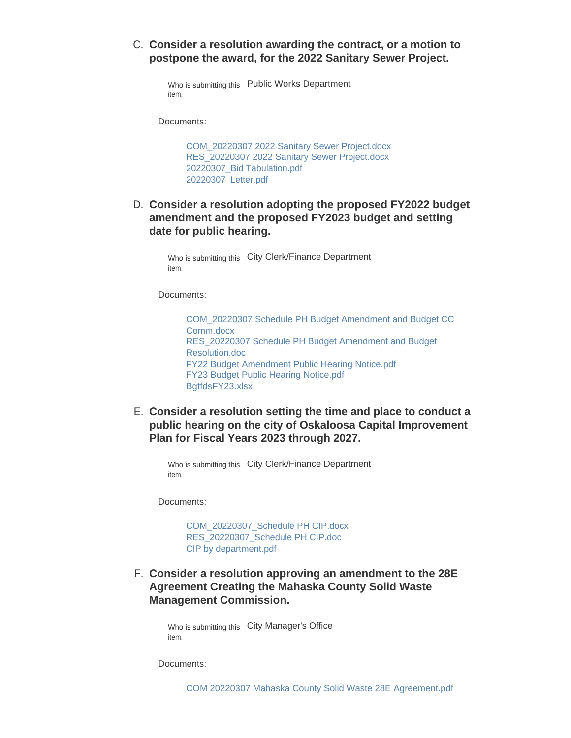## C. Consider a resolution awarding the contract, or a motion to **postpone the award, for the 2022 Sanitary Sewer Project.**

Who is submitting this Public Works Department item.

Documents:

[COM\\_20220307 2022 Sanitary Sewer Project.docx](https://www.oskaloosaiowa.org/AgendaCenter/ViewFile/Item/9932?fileID=26186) [RES\\_20220307 2022 Sanitary Sewer Project.docx](https://www.oskaloosaiowa.org/AgendaCenter/ViewFile/Item/9932?fileID=26176) [20220307\\_Bid Tabulation.pdf](https://www.oskaloosaiowa.org/AgendaCenter/ViewFile/Item/9932?fileID=26178) [20220307\\_Letter.pdf](https://www.oskaloosaiowa.org/AgendaCenter/ViewFile/Item/9932?fileID=26179)

# **Consider a resolution adopting the proposed FY2022 budget**  D. **amendment and the proposed FY2023 budget and setting date for public hearing.**

Who is submitting this City Clerk/Finance Department item.

Documents:

[COM\\_20220307 Schedule PH Budget Amendment and Budget CC](https://www.oskaloosaiowa.org/AgendaCenter/ViewFile/Item/9920?fileID=26218)  Comm.docx [RES\\_20220307 Schedule PH Budget Amendment and Budget](https://www.oskaloosaiowa.org/AgendaCenter/ViewFile/Item/9920?fileID=26219)  Resolution.doc [FY22 Budget Amendment Public Hearing Notice.pdf](https://www.oskaloosaiowa.org/AgendaCenter/ViewFile/Item/9920?fileID=26220) [FY23 Budget Public Hearing Notice.pdf](https://www.oskaloosaiowa.org/AgendaCenter/ViewFile/Item/9920?fileID=26221) [BgtfdsFY23.xlsx](https://www.oskaloosaiowa.org/AgendaCenter/ViewFile/Item/9920?fileID=26222)

**Consider a resolution setting the time and place to conduct a**  E. **public hearing on the city of Oskaloosa Capital Improvement Plan for Fiscal Years 2023 through 2027.**

Who is submitting this City Clerk/Finance Department item.

Documents:

[COM\\_20220307\\_Schedule PH CIP.docx](https://www.oskaloosaiowa.org/AgendaCenter/ViewFile/Item/9921?fileID=26165) [RES\\_20220307\\_Schedule PH CIP.doc](https://www.oskaloosaiowa.org/AgendaCenter/ViewFile/Item/9921?fileID=26166) [CIP by department.pdf](https://www.oskaloosaiowa.org/AgendaCenter/ViewFile/Item/9921?fileID=26167)

**Consider a resolution approving an amendment to the 28E**  F. **Agreement Creating the Mahaska County Solid Waste Management Commission.**

Who is submitting this City Manager's Office item.

Documents: